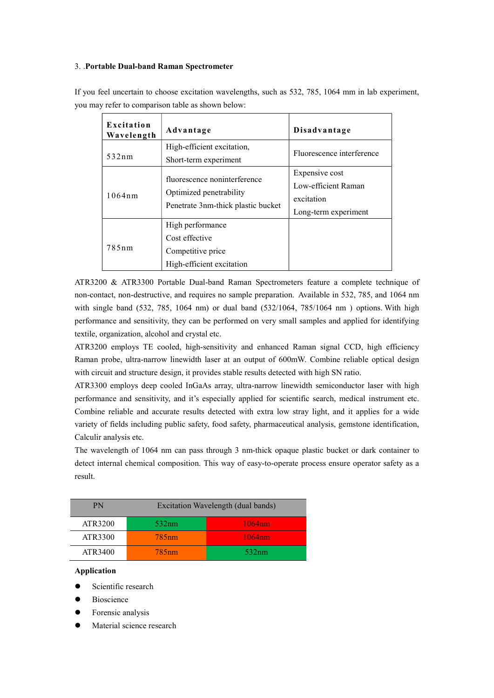## 3. .Portable Dual-band Raman Spectrometer

| Excitation<br>Wavelength | Advantage                                                                                     | Disadvantage                                                                |
|--------------------------|-----------------------------------------------------------------------------------------------|-----------------------------------------------------------------------------|
| 532nm                    | High-efficient excitation,<br>Short-term experiment                                           | Fluorescence interference                                                   |
| 1064nm                   | fluorescence noninterference<br>Optimized penetrability<br>Penetrate 3nm-thick plastic bucket | Expensive cost<br>Low-efficient Raman<br>excitation<br>Long-term experiment |
| 785nm                    | High performance<br>Cost effective<br>Competitive price<br>High-efficient excitation          |                                                                             |

If you feel uncertain to choose excitation wavelengths, such as 532, 785, 1064 mm in lab experiment, you may refer to comparison table as shown below:

ATR3200 & ATR3300 Portable Dual-band Raman Spectrometers feature a complete technique of non-contact, non-destructive, and requires no sample preparation. Available in 532, 785, and 1064 nm with single band (532, 785, 1064 nm) or dual band (532/1064, 785/1064 nm ) options. With high performance and sensitivity, they can be performed on very small samples and applied for identifying textile, organization, alcohol and crystal etc.

ATR3200 employs TE cooled, high-sensitivity and enhanced Raman signal CCD, high efficiency Raman probe, ultra-narrow linewidth laser at an output of 600mW. Combine reliable optical design with circuit and structure design, it provides stable results detected with high SN ratio.

ATR3300 employs deep cooled InGaAs array, ultra-narrow linewidth semiconductor laser with high performance and sensitivity, and it's especially applied for scientific search, medical instrument etc. Combine reliable and accurate results detected with extra low stray light, and it applies for a wide variety of fields including public safety, food safety, pharmaceutical analysis, gemstone identification, Calculir analysis etc.

The wavelength of 1064 nm can pass through 3 nm-thick opaque plastic bucket or dark container to detect internal chemical composition. This way of easy-to-operate process ensure operator safety as a result.

| PN      | Excitation Wavelength (dual bands) |        |
|---------|------------------------------------|--------|
| ATR3200 | 532nm                              | 1064nm |
| ATR3300 | 785 <sub>nm</sub>                  | 1064nm |
| ATR3400 | 785 <sub>nm</sub>                  | 532nm  |

## Application

- Scientific research
- Bioscience
- Forensic analysis
- Material science research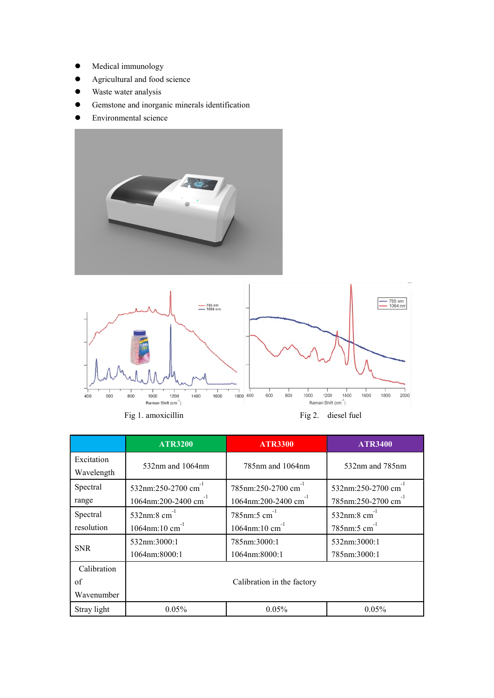- $\bullet$  Medical immunology
- Agricultural and food science
- Waste water analysis
- Gemstone and inorganic minerals identification
- Environmental science





|                                      | <b>ATR3200</b>                                                     | <b>ATR3300</b>                                                               | <b>ATR3400</b>                                                   |
|--------------------------------------|--------------------------------------------------------------------|------------------------------------------------------------------------------|------------------------------------------------------------------|
| Excitation<br>Wavelength             | $532$ nm and $1064$ nm                                             | 785 <sub>nm</sub> and 1064 <sub>nm</sub>                                     | 532nm and 785nm                                                  |
| Spectral<br>range                    | 532nm:250-2700 cm<br>1064nm:200-2400 cm <sup>-1</sup>              | 785nm:250-2700 cm <sup>-1</sup><br>1064nm:200-2400 cm                        | 532nm:250-2700 cm<br>785nm:250-2700 cm                           |
| Spectral<br>resolution<br><b>SNR</b> | 532nm:8 $cm^{-1}$<br>$1064$ nm:10 cm <sup>-1</sup><br>532nm:3000:1 | $785$ nm:5 cm <sup>-1</sup><br>$1064$ nm:10 cm <sup>-1</sup><br>785nm:3000:1 | 532nm:8 $cm^{-1}$<br>$785$ nm:5 cm <sup>-1</sup><br>532nm:3000:1 |
|                                      | 1064nm:8000:1                                                      | 1064nm:8000:1                                                                | 785nm:3000:1                                                     |
| Calibration<br>of<br>Wavenumber      | Calibration in the factory                                         |                                                                              |                                                                  |
| Stray light                          | $0.05\%$                                                           | 0.05%                                                                        | 0.05%                                                            |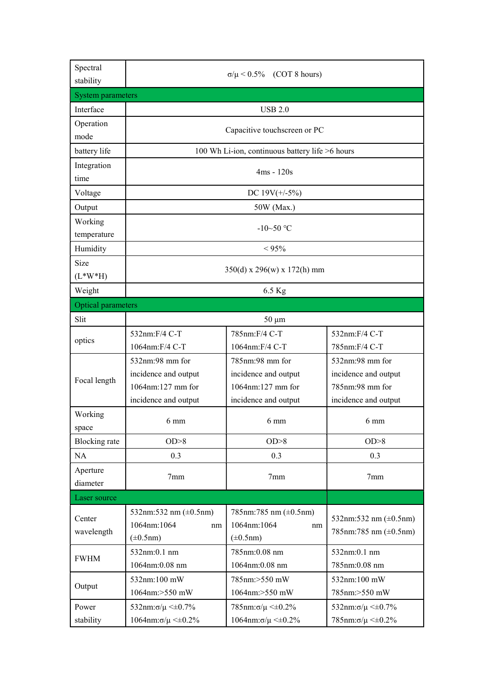| Spectral<br>stability     | $\sigma/\mu$ < 0.5% (COT 8 hours)                                  |                                                                    |                                                            |  |
|---------------------------|--------------------------------------------------------------------|--------------------------------------------------------------------|------------------------------------------------------------|--|
| <b>System parameters</b>  |                                                                    |                                                                    |                                                            |  |
| Interface                 |                                                                    | <b>USB 2.0</b>                                                     |                                                            |  |
| Operation                 |                                                                    |                                                                    |                                                            |  |
| mode                      |                                                                    | Capacitive touchscreen or PC                                       |                                                            |  |
| battery life              |                                                                    | 100 Wh Li-ion, continuous battery life >6 hours                    |                                                            |  |
| Integration<br>time       | $4ms - 120s$                                                       |                                                                    |                                                            |  |
| Voltage                   |                                                                    | DC $19V(+/-5%)$                                                    |                                                            |  |
| Output                    |                                                                    | 50W (Max.)                                                         |                                                            |  |
| Working<br>temperature    | $-10-50$ °C                                                        |                                                                    |                                                            |  |
| Humidity                  |                                                                    | $< 95\%$                                                           |                                                            |  |
| Size                      |                                                                    |                                                                    |                                                            |  |
| $(L*W*H)$                 | $350(d)$ x 296(w) x 172(h) mm                                      |                                                                    |                                                            |  |
| Weight                    | 6.5 Kg                                                             |                                                                    |                                                            |  |
| <b>Optical parameters</b> |                                                                    |                                                                    |                                                            |  |
| Slit                      |                                                                    | $50 \mu m$                                                         |                                                            |  |
| optics                    | 532nm:F/4 C-T<br>1064nm:F/4 C-T                                    | 785nm:F/4 C-T<br>1064nm:F/4 C-T                                    | 532nm:F/4 C-T<br>785nm:F/4 C-T                             |  |
|                           | 532nm:98 mm for                                                    | 785nm:98 mm for                                                    | 532nm:98 mm for                                            |  |
|                           | incidence and output                                               | incidence and output                                               | incidence and output                                       |  |
| Focal length              | 1064nm:127 mm for                                                  | 1064nm:127 mm for                                                  | 785nm:98 mm for                                            |  |
|                           | incidence and output                                               | incidence and output                                               | incidence and output                                       |  |
| Working<br>space          | $6 \text{ mm}$                                                     | 6 mm                                                               | $6 \text{ mm}$                                             |  |
| <b>Blocking</b> rate      | OD > 8                                                             | OD > 8                                                             | OD > 8                                                     |  |
| NA                        | 0.3                                                                | 0.3                                                                | 0.3                                                        |  |
| Aperture<br>diameter      | 7 <sub>mm</sub>                                                    | 7 <sub>mm</sub>                                                    | 7 <sub>mm</sub>                                            |  |
| Laser source              |                                                                    |                                                                    |                                                            |  |
| Center<br>wavelength      | 532nm:532 nm $(\pm 0.5$ nm)<br>1064nm:1064<br>nm<br>$(\pm 0.5$ nm) | 785nm:785 nm $(\pm 0.5$ nm)<br>1064nm:1064<br>nm<br>$(\pm 0.5$ nm) | 532nm:532 nm $(\pm 0.5$ nm)<br>785nm:785 nm $(\pm 0.5$ nm) |  |
| <b>FWHM</b>               | 532nm:0.1 nm                                                       | 785nm:0.08 nm                                                      | 532nm:0.1 nm                                               |  |
|                           | 1064nm:0.08 nm                                                     | 1064nm:0.08 nm                                                     | 785nm:0.08 nm                                              |  |
| Output                    | 532nm:100 mW                                                       | 785nm:>550 mW                                                      | 532nm:100 mW                                               |  |
|                           | 1064nm:>550 mW                                                     | 1064nm:>550 mW                                                     | 785nm:>550 mW                                              |  |
| Power                     | 532nm: $\sigma/\mu < \pm 0.7\%$                                    | $785$ nm: $\sigma/\mu \leq 0.2\%$                                  | 532nm: σ/μ $\leq\pm$ 0.7%                                  |  |
| stability                 | $1064$ nm: $\sigma/\mu \leq 0.2\%$                                 | $1064$ nm: $\sigma/\mu \leq 0.2\%$                                 | $785$ nm: $\sigma/\mu \leq 0.2\%$                          |  |